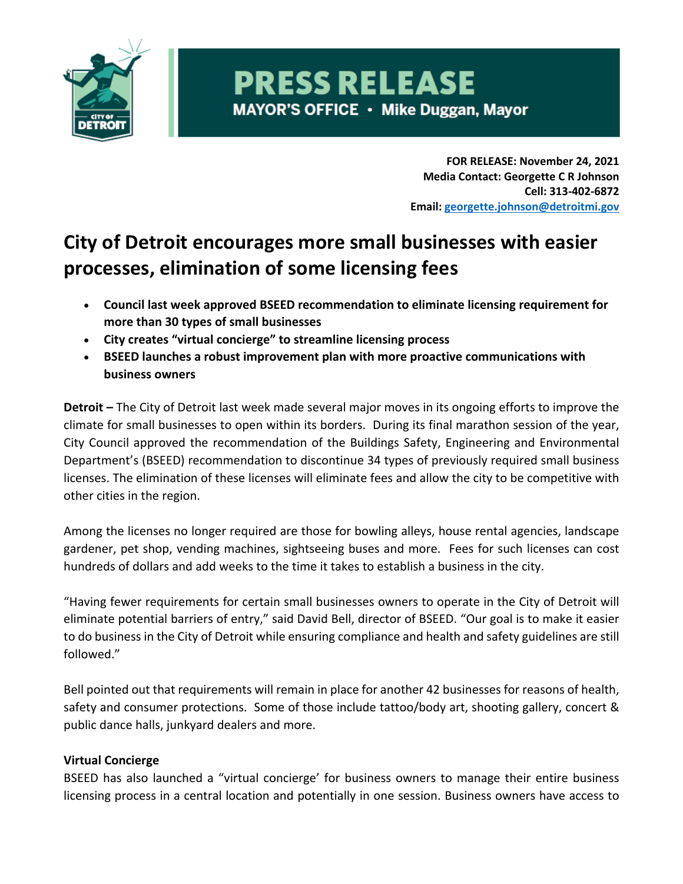

# **PRESS RELEASE** MAYOR'S OFFICE · Mike Duggan, Mayor

**FOR RELEASE: November 24, 2021 Media Contact: Georgette C R Johnson Cell: 313-402-6872 Email: georgette.johnson@detroitmi.gov**

## **City of Detroit encourages more small businesses with easier processes, elimination of some licensing fees**

- **Council last week approved BSEED recommendation to eliminate licensing requirement for more than 30 types of small businesses**
- **City creates "virtual concierge" to streamline licensing process**
- **BSEED launches a robust improvement plan with more proactive communications with business owners**

**Detroit –** The City of Detroit last week made several major moves in its ongoing efforts to improve the climate for small businesses to open within its borders. During its final marathon session of the year, City Council approved the recommendation of the Buildings Safety, Engineering and Environmental Department's (BSEED) recommendation to discontinue 34 types of previously required small business licenses. The elimination of these licenses will eliminate fees and allow the city to be competitive with other cities in the region.

Among the licenses no longer required are those for bowling alleys, house rental agencies, landscape gardener, pet shop, vending machines, sightseeing buses and more. Fees for such licenses can cost hundreds of dollars and add weeks to the time it takes to establish a business in the city.

"Having fewer requirements for certain small businesses owners to operate in the City of Detroit will eliminate potential barriers of entry," said David Bell, director of BSEED. "Our goal is to make it easier to do business in the City of Detroit while ensuring compliance and health and safety guidelines are still followed."

Bell pointed out that requirements will remain in place for another 42 businesses for reasons of health, safety and consumer protections. Some of those include tattoo/body art, shooting gallery, concert & public dance halls, junkyard dealers and more.

### **Virtual Concierge**

BSEED has also launched a "virtual concierge' for business owners to manage their entire business licensing process in a central location and potentially in one session. Business owners have access to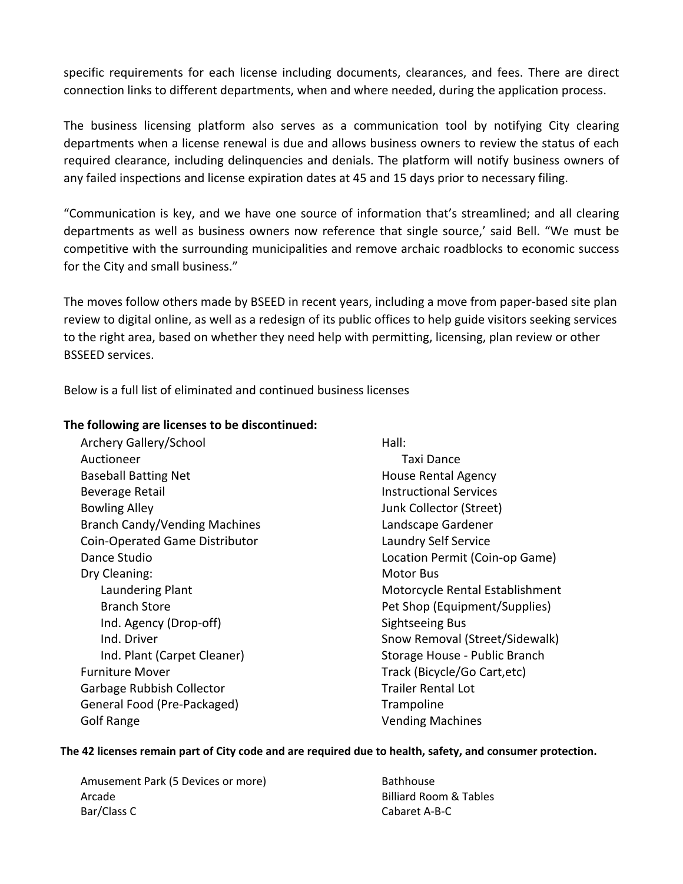specific requirements for each license including documents, clearances, and fees. There are direct connection links to different departments, when and where needed, during the application process.

The business licensing platform also serves as a communication tool by notifying City clearing departments when a license renewal is due and allows business owners to review the status of each required clearance, including delinquencies and denials. The platform will notify business owners of any failed inspections and license expiration dates at 45 and 15 days prior to necessary filing.

"Communication is key, and we have one source of information that's streamlined; and all clearing departments as well as business owners now reference that single source,' said Bell. "We must be competitive with the surrounding municipalities and remove archaic roadblocks to economic success for the City and small business."

The moves follow others made by BSEED in recent years, including a move from paper-based site plan review to digital online, as well as a redesign of its public offices to help guide visitors seeking services to the right area, based on whether they need help with permitting, licensing, plan review or other BSSEED services.

Below is a full list of eliminated and continued business licenses

#### **The following are licenses to be discontinued:**

| Archery Gallery/School               | Hall:                           |
|--------------------------------------|---------------------------------|
| Auctioneer                           | Taxi Dance                      |
| <b>Baseball Batting Net</b>          | House Rental Agency             |
| Beverage Retail                      | <b>Instructional Services</b>   |
| <b>Bowling Alley</b>                 | Junk Collector (Street)         |
| <b>Branch Candy/Vending Machines</b> | Landscape Gardener              |
| Coin-Operated Game Distributor       | Laundry Self Service            |
| Dance Studio                         | Location Permit (Coin-op Game)  |
| Dry Cleaning:                        | <b>Motor Bus</b>                |
| Laundering Plant                     | Motorcycle Rental Establishment |
| <b>Branch Store</b>                  | Pet Shop (Equipment/Supplies)   |
| Ind. Agency (Drop-off)               | Sightseeing Bus                 |
| Ind. Driver                          | Snow Removal (Street/Sidewalk)  |
| Ind. Plant (Carpet Cleaner)          | Storage House - Public Branch   |
| <b>Furniture Mover</b>               | Track (Bicycle/Go Cart, etc)    |
| Garbage Rubbish Collector            | <b>Trailer Rental Lot</b>       |
| General Food (Pre-Packaged)          | Trampoline                      |
| Golf Range                           | <b>Vending Machines</b>         |

#### **The 42 licenses remain part of City code and are required due to health, safety, and consumer protection.**

Amusement Park (5 Devices or more) Arcade Bar/Class C

Bathhouse Billiard Room & Tables Cabaret A-B-C